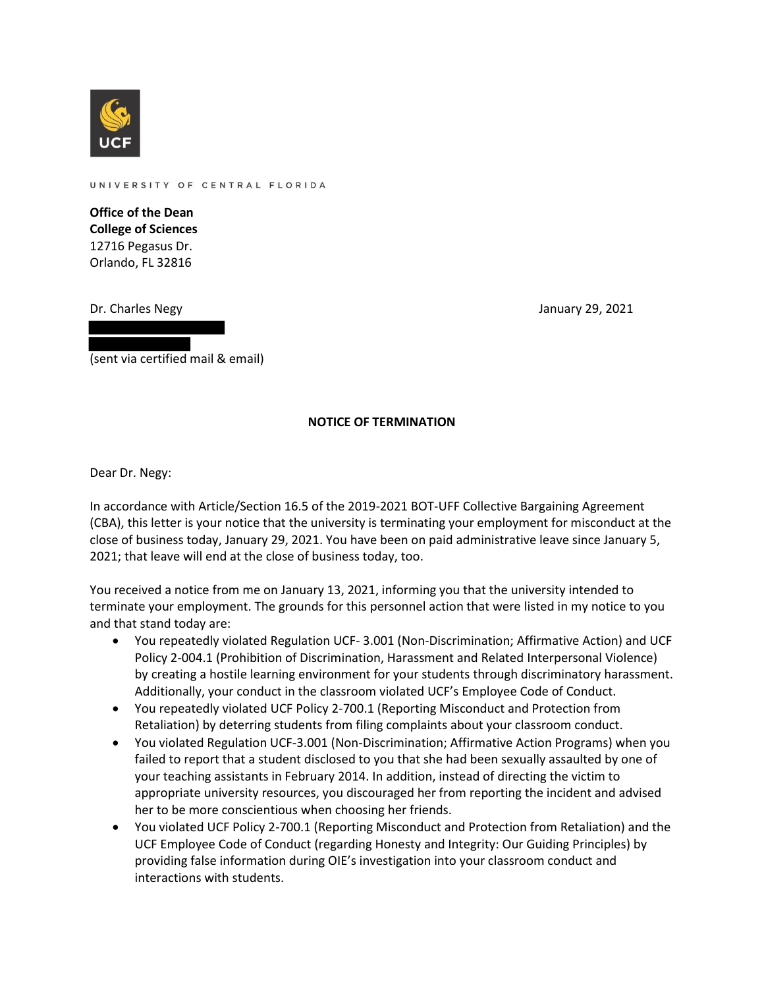

UNIVERSITY OF CENTRAL FLORIDA

**Office of the Dean College of Sciences** 12716 Pegasus Dr. Orlando, FL 32816

Dr. Charles Negy January 29, 2021

(sent via certified mail & email)

## **NOTICE OF TERMINATION**

Dear Dr. Negy:

In accordance with Article/Section 16.5 of the 2019-2021 BOT-UFF Collective Bargaining Agreement (CBA), this letter is your notice that the university is terminating your employment for misconduct at the close of business today, January 29, 2021. You have been on paid administrative leave since January 5, 2021; that leave will end at the close of business today, too.

You received a notice from me on January 13, 2021, informing you that the university intended to terminate your employment. The grounds for this personnel action that were listed in my notice to you and that stand today are:

- You repeatedly violated Regulation UCF- 3.001 (Non-Discrimination; Affirmative Action) and UCF Policy 2-004.1 (Prohibition of Discrimination, Harassment and Related Interpersonal Violence) by creating a hostile learning environment for your students through discriminatory harassment. Additionally, your conduct in the classroom violated UCF's Employee Code of Conduct.
- You repeatedly violated UCF Policy 2-700.1 (Reporting Misconduct and Protection from Retaliation) by deterring students from filing complaints about your classroom conduct.
- You violated Regulation UCF-3.001 (Non-Discrimination; Affirmative Action Programs) when you failed to report that a student disclosed to you that she had been sexually assaulted by one of your teaching assistants in February 2014. In addition, instead of directing the victim to appropriate university resources, you discouraged her from reporting the incident and advised her to be more conscientious when choosing her friends.
- You violated UCF Policy 2-700.1 (Reporting Misconduct and Protection from Retaliation) and the UCF Employee Code of Conduct (regarding Honesty and Integrity: Our Guiding Principles) by providing false information during OIE's investigation into your classroom conduct and interactions with students.